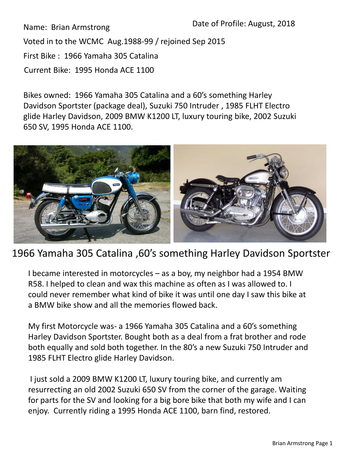Name: Brian Armstrong

Voted in to the WCMC Aug.1988-99 / rejoined Sep 2015

First Bike : 1966 Yamaha 305 Catalina

Current Bike: 1995 Honda ACE 1100

Bikes owned: 1966 Yamaha 305 Catalina and a 60's something Harley Davidson Sportster (package deal), Suzuki 750 Intruder , 1985 FLHT Electro glide Harley Davidson, 2009 BMW K1200 LT, luxury touring bike, 2002 Suzuki 650 SV, 1995 Honda ACE 1100.



## 1966 Yamaha 305 Catalina ,60's something Harley Davidson Sportster

I became interested in motorcycles – as a boy, my neighbor had a 1954 BMW R58. I helped to clean and wax this machine as often as I was allowed to. I could never remember what kind of bike it was until one day I saw this bike at a BMW bike show and all the memories flowed back.

My first Motorcycle was- a 1966 Yamaha 305 Catalina and a 60's something Harley Davidson Sportster. Bought both as a deal from a frat brother and rode both equally and sold both together. In the 80's a new Suzuki 750 Intruder and 1985 FLHT Electro glide Harley Davidson.

I just sold a 2009 BMW K1200 LT, luxury touring bike, and currently am resurrecting an old 2002 Suzuki 650 SV from the corner of the garage. Waiting for parts for the SV and looking for a big bore bike that both my wife and I can enjoy. Currently riding a 1995 Honda ACE 1100, barn find, restored.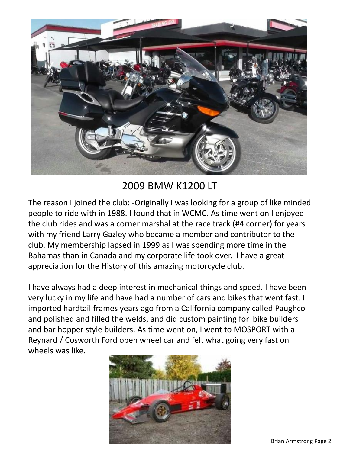

## 2009 BMW K1200 LT

The reason I joined the club: -Originally I was looking for a group of like minded people to ride with in 1988. I found that in WCMC. As time went on I enjoyed the club rides and was a corner marshal at the race track (#4 corner) for years with my friend Larry Gazley who became a member and contributor to the club. My membership lapsed in 1999 as I was spending more time in the Bahamas than in Canada and my corporate life took over. I have a great appreciation for the History of this amazing motorcycle club.

I have always had a deep interest in mechanical things and speed. I have been very lucky in my life and have had a number of cars and bikes that went fast. I imported hardtail frames years ago from a California company called Paughco and polished and filled the welds, and did custom painting for bike builders and bar hopper style builders. As time went on, I went to MOSPORT with a Reynard / Cosworth Ford open wheel car and felt what going very fast on wheels was like.

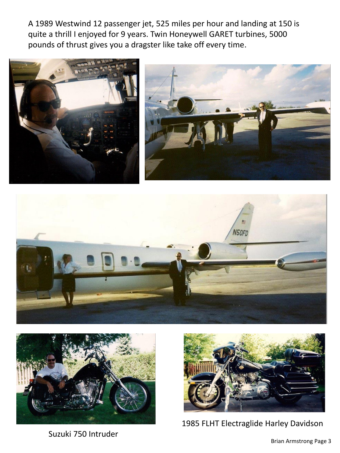A 1989 Westwind 12 passenger jet, 525 miles per hour and landing at 150 is quite a thrill I enjoyed for 9 years. Twin Honeywell GARET turbines, 5000 pounds of thrust gives you a dragster like take off every time.









Suzuki 750 Intruder



1985 FLHT Electraglide Harley Davidson